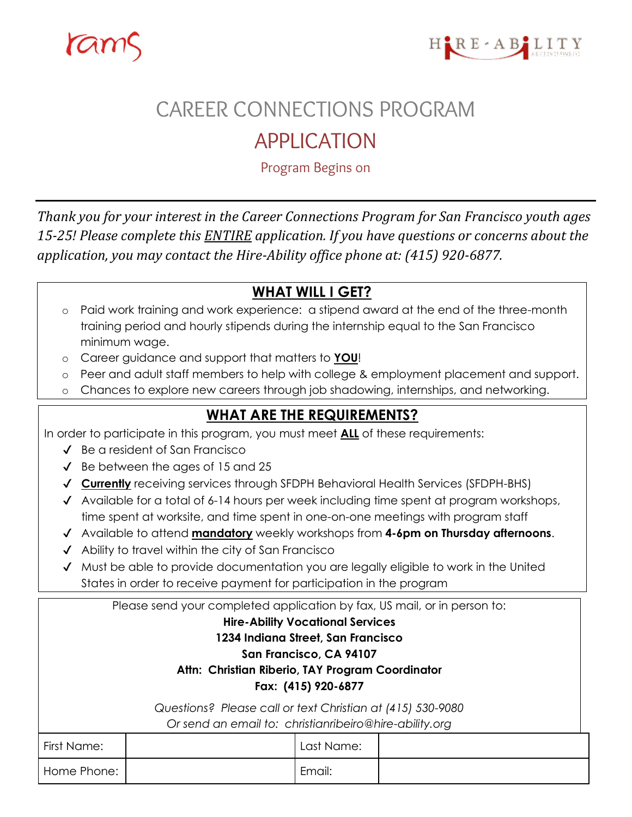



# CAREER CONNECTIONS PROGRAM

## APPLICATION

Program Begins on

*Thank you for your interest in the Career Connections Program for San Francisco youth ages 15-25! Please complete this ENTIRE application. If you have questions or concerns about the application, you may contact the Hire-Ability office phone at: (415) 920-6877.*

### **WHAT WILL I GET?**

- o Paid work training and work experience: a stipend award at the end of the three-month training period and hourly stipends during the internship equal to the San Francisco minimum wage.
- o Career guidance and support that matters to **YOU**!
- o Peer and adult staff members to help with college & employment placement and support.
- o Chances to explore new careers through job shadowing, internships, and networking.

#### **WHAT ARE THE REQUIREMENTS?**

In order to participate in this program, you must meet **ALL** of these requirements:

- ✔ Be a resident of San Francisco
- ✔ Be between the ages of 15 and 25
- ✔ **Currently** receiving services through SFDPH Behavioral Health Services (SFDPH-BHS)
- ✔ Available for a total of 6-14 hours per week including time spent at program workshops, time spent at worksite, and time spent in one-on-one meetings with program staff
- ✔ Available to attend **mandatory** weekly workshops from **4-6pm on Thursday afternoons**.
- ✔ Ability to travel within the city of San Francisco
- ✔ Must be able to provide documentation you are legally eligible to work in the United States in order to receive payment for participation in the program

| Please send your completed application by fax, US mail, or in person to: |  |            |  |  |  |
|--------------------------------------------------------------------------|--|------------|--|--|--|
| <b>Hire-Ability Vocational Services</b>                                  |  |            |  |  |  |
| 1234 Indiana Street, San Francisco                                       |  |            |  |  |  |
| San Francisco, CA 94107                                                  |  |            |  |  |  |
| Attn: Christian Riberio, TAY Program Coordinator                         |  |            |  |  |  |
| Fax: (415) 920-6877                                                      |  |            |  |  |  |
| Questions? Please call or text Christian at (415) 530-9080               |  |            |  |  |  |
| Or send an email to: christianribeiro@hire-ability.org                   |  |            |  |  |  |
| First Name:                                                              |  | Last Name: |  |  |  |
| Home Phone:                                                              |  | Email:     |  |  |  |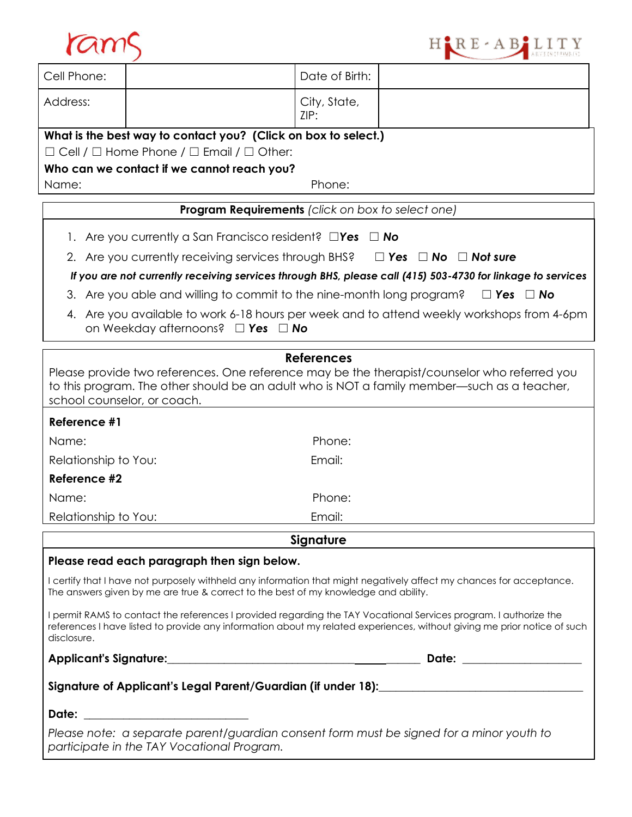



| Cell Phone:                                                                                                                                                                                                                                                  |                                                                                                              | Date of Birth:       |                                                                                                             |  |  |  |  |
|--------------------------------------------------------------------------------------------------------------------------------------------------------------------------------------------------------------------------------------------------------------|--------------------------------------------------------------------------------------------------------------|----------------------|-------------------------------------------------------------------------------------------------------------|--|--|--|--|
| Address:                                                                                                                                                                                                                                                     |                                                                                                              | City, State,<br>ZIP: |                                                                                                             |  |  |  |  |
|                                                                                                                                                                                                                                                              | What is the best way to contact you? (Click on box to select.)                                               |                      |                                                                                                             |  |  |  |  |
|                                                                                                                                                                                                                                                              | $\Box$ Cell / $\Box$ Home Phone / $\Box$ Email / $\Box$ Other:<br>Who can we contact if we cannot reach you? |                      |                                                                                                             |  |  |  |  |
| Name:                                                                                                                                                                                                                                                        |                                                                                                              | Phone:               |                                                                                                             |  |  |  |  |
| <b>Program Requirements</b> (click on box to select one)                                                                                                                                                                                                     |                                                                                                              |                      |                                                                                                             |  |  |  |  |
| 1. Are you currently a San Francisco resident? $\square$ Yes $\square$ No                                                                                                                                                                                    |                                                                                                              |                      |                                                                                                             |  |  |  |  |
|                                                                                                                                                                                                                                                              | 2. Are you currently receiving services through BHS?<br>$\Box$ Yes $\Box$ No $\Box$ Not sure                 |                      |                                                                                                             |  |  |  |  |
|                                                                                                                                                                                                                                                              |                                                                                                              |                      | If you are not currently receiving services through BHS, please call (415) 503-4730 for linkage to services |  |  |  |  |
| 3. Are you able and willing to commit to the nine-month long program?<br>$\Box$ Yes $\Box$ No                                                                                                                                                                |                                                                                                              |                      |                                                                                                             |  |  |  |  |
| 4. Are you available to work 6-18 hours per week and to attend weekly workshops from 4-6pm<br>on Weekday afternoons? $\Box$ Yes $\Box$ No                                                                                                                    |                                                                                                              |                      |                                                                                                             |  |  |  |  |
|                                                                                                                                                                                                                                                              |                                                                                                              | <b>References</b>    |                                                                                                             |  |  |  |  |
| Please provide two references. One reference may be the therapist/counselor who referred you<br>to this program. The other should be an adult who is NOT a family member—such as a teacher,<br>school counselor, or coach.                                   |                                                                                                              |                      |                                                                                                             |  |  |  |  |
| Reference #1                                                                                                                                                                                                                                                 |                                                                                                              |                      |                                                                                                             |  |  |  |  |
| Name:                                                                                                                                                                                                                                                        |                                                                                                              | Phone:               |                                                                                                             |  |  |  |  |
| Relationship to You:                                                                                                                                                                                                                                         |                                                                                                              | Email:               |                                                                                                             |  |  |  |  |
| Reference #2                                                                                                                                                                                                                                                 |                                                                                                              |                      |                                                                                                             |  |  |  |  |
| Name:                                                                                                                                                                                                                                                        |                                                                                                              | Phone:               |                                                                                                             |  |  |  |  |
| Relationship to You:                                                                                                                                                                                                                                         |                                                                                                              | Email:               |                                                                                                             |  |  |  |  |
| Signature                                                                                                                                                                                                                                                    |                                                                                                              |                      |                                                                                                             |  |  |  |  |
| Please read each paragraph then sign below.                                                                                                                                                                                                                  |                                                                                                              |                      |                                                                                                             |  |  |  |  |
| I certify that I have not purposely withheld any information that might negatively affect my chances for acceptance.<br>The answers given by me are true & correct to the best of my knowledge and ability.                                                  |                                                                                                              |                      |                                                                                                             |  |  |  |  |
| I permit RAMS to contact the references I provided regarding the TAY Vocational Services program. I authorize the<br>references I have listed to provide any information about my related experiences, without giving me prior notice of such<br>disclosure. |                                                                                                              |                      |                                                                                                             |  |  |  |  |
|                                                                                                                                                                                                                                                              |                                                                                                              |                      |                                                                                                             |  |  |  |  |
|                                                                                                                                                                                                                                                              |                                                                                                              |                      |                                                                                                             |  |  |  |  |
| Date: ___________________________                                                                                                                                                                                                                            |                                                                                                              |                      |                                                                                                             |  |  |  |  |
| Please note: a separate parent/guardian consent form must be signed for a minor youth to<br>participate in the TAY Vocational Program.                                                                                                                       |                                                                                                              |                      |                                                                                                             |  |  |  |  |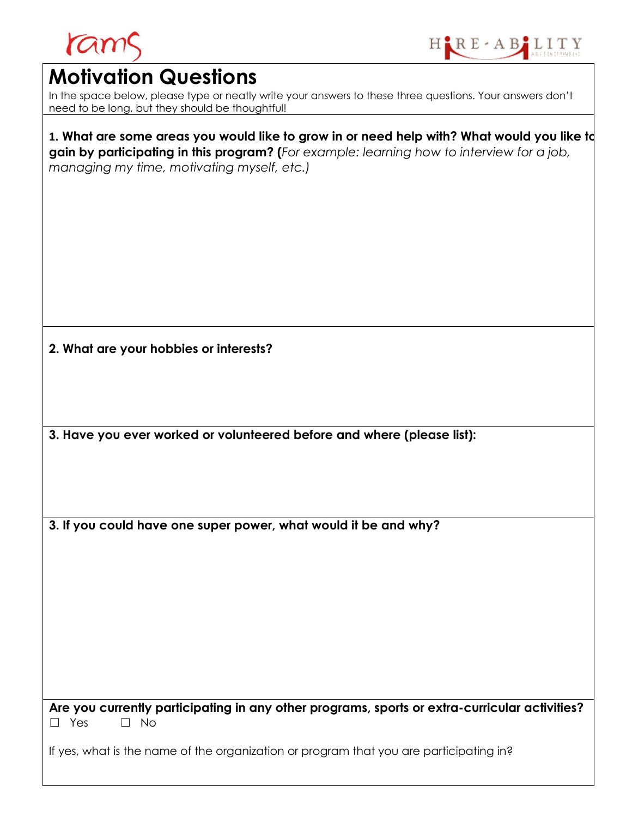

### **Motivation Questions**

In the space below, please type or neatly write your answers to these three questions. Your answers don't need to be long, but they should be thoughtful!

**1. What are some areas you would like to grow in or need help with? What would you like to gain by participating in this program? (***For example: learning how to interview for a job, managing my time, motivating myself, etc.)* 

**2. What are your hobbies or interests?** 

**3. Have you ever worked or volunteered before and where (please list):**

**3. If you could have one super power, what would it be and why?** 

**Are you currently participating in any other programs, sports or extra-curricular activities?** ☐ Yes ☐ No

If yes, what is the name of the organization or program that you are participating in?